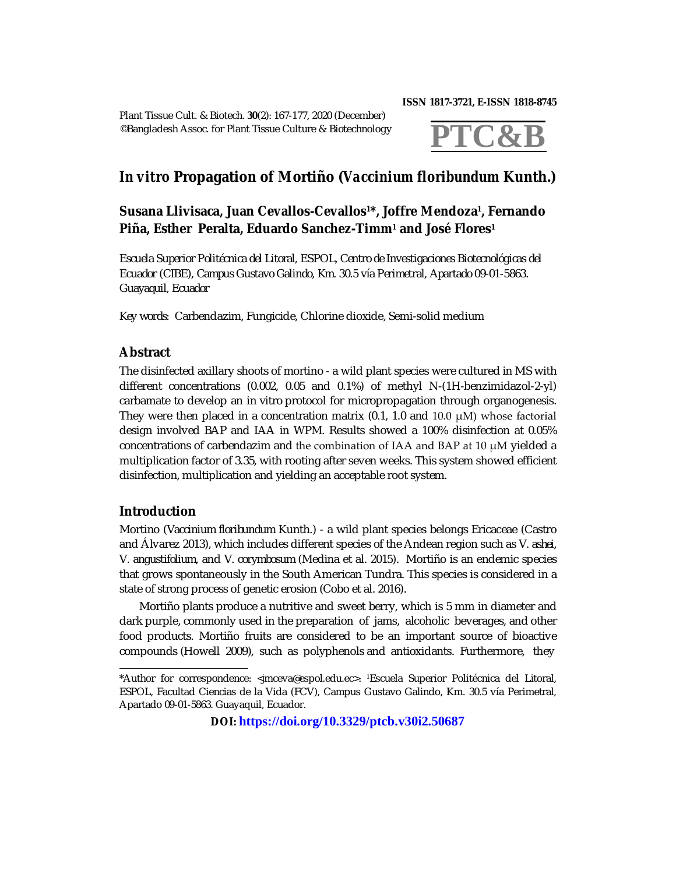Plant Tissue Cult. & Biotech. **30**(2): 167-177, 2020 (December) ©Bangladesh Assoc. for Plant Tissue Culture & Biotechnology **ISSN 1817-3721, E-ISSN 1818-8745** 



# *In vitro* **Propagation of Mortiño (***Vaccinium floribundum* **Kunth.)**

## **Susana Llivisaca, Juan Cevallos-Cevallos1\*, Joffre Mendoza<sup>1</sup> , Fernando Piña, Esther Peralta, Eduardo Sanchez-Timm<sup>1</sup> and José Flores<sup>1</sup>**

*Escuela Superior Politécnica del Litoral, ESPOL, Centro de Investigaciones Biotecnológicas del Ecuador (CIBE), Campus Gustavo Galindo, Km. 30.5 vía Perimetral, Apartado 09-01-5863. Guayaquil, Ecuador*

*Key words:* Carbendazim, Fungicide, Chlorine dioxide, Semi-solid medium

## **Abstract**

The disinfected axillary shoots of mortino - a wild plant species were cultured in MS with different concentrations (0.002, 0.05 and 0.1%) of methyl N-(1H-benzimidazol-2-yl) carbamate to develop an *in vitro* protocol for micropropagation through organogenesis. They were then placed in a concentration matrix  $(0.1, 1.0, 1.0, 1.0)$  whose factorial design involved BAP and IAA in WPM. Results showed a 100% disinfection at 0.05% concentrations of carbendazim and the combination of IAA and BAP at 10 μM yielded a multiplication factor of 3.35, with rooting after seven weeks. This system showed efficient disinfection, multiplication and yielding an acceptable root system.

## **Introduction**

Mortino (*Vaccinium floribundum* Kunth.) - a wild plant species belongs Ericaceae (Castro and Álvarez 2013), which includes different species of the Andean region such as *V. ashei*, *V. angustifolium*, and *V. corymbosum* (Medina et al. 2015). Mortiño is an endemic species that grows spontaneously in the South American Tundra. This species is considered in a state of strong process of genetic erosion (Cobo et al. 2016).

Mortiño plants produce a nutritive and sweet berry, which is 5 mm in diameter and dark purple, commonly used in the preparation of jams, alcoholic beverages, and other food products. Mortiño fruits are considered to be an important source of bioactive compounds (Howell 2009), such as polyphenols and antioxidants. Furthermore, they

**DOI: <https://doi.org/10.3329/ptcb.v30i2.50687>**

<sup>\*</sup>Author for correspondence: [<jmceva@espol.edu.ec](mailto:jmceva@espol.edu.ec)>. 1Escuela Superior Politécnica del Litoral, ESPOL, Facultad Ciencias de la Vida (FCV), Campus Gustavo Galindo, Km. 30.5 vía Perimetral, Apartado 09-01-5863. Guayaquil, Ecuador.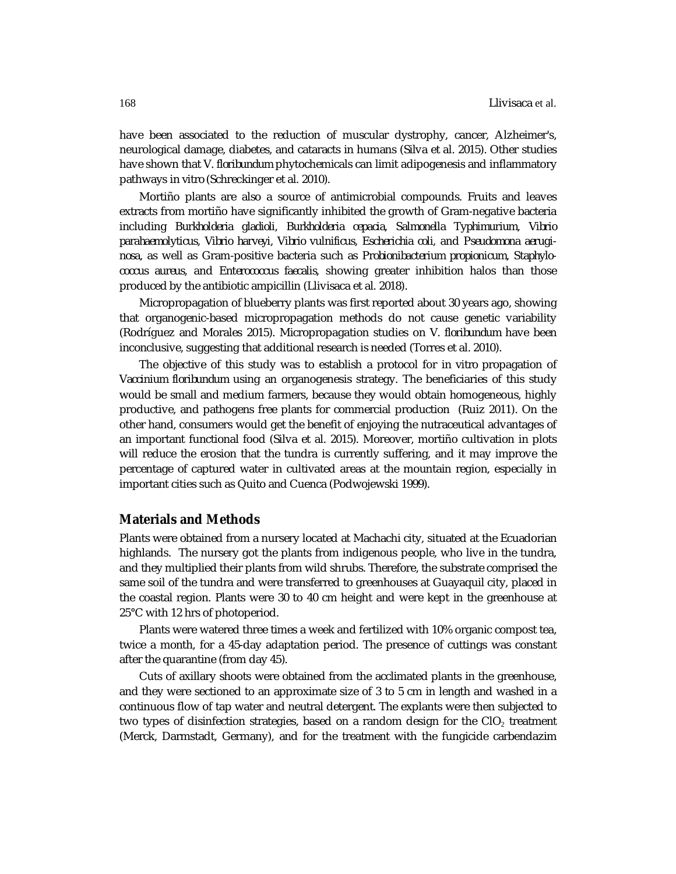have been associated to the reduction of muscular dystrophy, cancer, Alzheimer's, neurological damage, diabetes, and cataracts in humans (Silva et al. 2015). Other studies have shown that *V. floribundum* phytochemicals can limit adipogenesis and inflammatory pathways *in vitro* (Schreckinger et al. 2010).

Mortiño plants are also a source of antimicrobial compounds. Fruits and leaves extracts from mortiño have significantly inhibited the growth of Gram-negative bacteria including *Burkholderia gladioli*, *Burkholderia cepacia*, *Salmonella Typhimurium*, *Vibrio parahaemolyticus*, *Vibrio harveyi*, *Vibrio vulnificus*, *Escherichia coli*, and *Pseudomona aeruginosa*, as well as Gram-positive bacteria such as *Probionibacterium propionicum*, *Staphylococcus aureus*, and *Enterococcus faecalis,* showing greater inhibition halos than those produced by the antibiotic ampicillin (Llivisaca et al. 2018).

Micropropagation of blueberry plants was first reported about 30 years ago, showing that organogenic-based micropropagation methods do not cause genetic variability (Rodríguez and Morales 2015). Micropropagation studies on *V. floribundum* have been inconclusive, suggesting that additional research is needed (Torres et al. 2010).

The objective of this study was to establish a protocol for *in vitro* propagation of *Vaccinium floribundum* using an organogenesis strategy. The beneficiaries of this study would be small and medium farmers, because they would obtain homogeneous, highly productive, and pathogens free plants for commercial production (Ruiz 2011). On the other hand, consumers would get the benefit of enjoying the nutraceutical advantages of an important functional food (Silva et al. 2015). Moreover, mortiño cultivation in plots will reduce the erosion that the tundra is currently suffering, and it may improve the percentage of captured water in cultivated areas at the mountain region, especially in important cities such as Quito and Cuenca (Podwojewski 1999).

## **Materials and Methods**

Plants were obtained from a nursery located at Machachi city, situated at the Ecuadorian highlands. The nursery got the plants from indigenous people, who live in the tundra, and they multiplied their plants from wild shrubs. Therefore, the substrate comprised the same soil of the tundra and were transferred to greenhouses at Guayaquil city, placed in the coastal region. Plants were 30 to 40 cm height and were kept in the greenhouse at 25°C with 12 hrs of photoperiod.

Plants were watered three times a week and fertilized with 10% organic compost tea, twice a month, for a 45-day adaptation period. The presence of cuttings was constant after the quarantine (from day 45).

Cuts of axillary shoots were obtained from the acclimated plants in the greenhouse, and they were sectioned to an approximate size of 3 to 5 cm in length and washed in a continuous flow of tap water and neutral detergent. The explants were then subjected to two types of disinfection strategies, based on a random design for the  $ClO<sub>2</sub>$  treatment (Merck, Darmstadt, Germany), and for the treatment with the fungicide carbendazim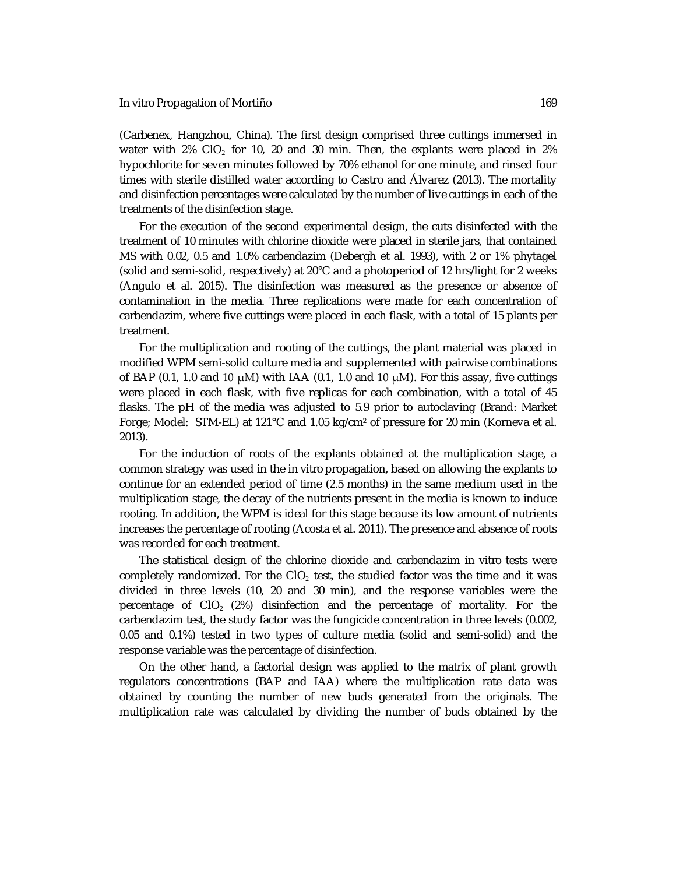#### *In vitro* Propagation of Mortiño 169

(Carbenex, Hangzhou, China). The first design comprised three cuttings immersed in water with 2% CIO<sub>2</sub> for 10, 20 and 30 min. Then, the explants were placed in 2% hypochlorite for seven minutes followed by 70% ethanol for one minute, and rinsed four times with sterile distilled water according to Castro and Álvarez (2013). The mortality and disinfection percentages were calculated by the number of live cuttings in each of the treatments of the disinfection stage.

For the execution of the second experimental design, the cuts disinfected with the treatment of 10 minutes with chlorine dioxide were placed in sterile jars, that contained MS with 0.02, 0.5 and 1.0% carbendazim (Debergh et al. 1993), with 2 or 1% phytagel (solid and semi-solid, respectively) at 20°C and a photoperiod of 12 hrs/light for 2 weeks (Angulo et al. 2015). The disinfection was measured as the presence or absence of contamination in the media. Three replications were made for each concentration of carbendazim, where five cuttings were placed in each flask, with a total of 15 plants per treatment.

For the multiplication and rooting of the cuttings, the plant material was placed in modified WPM semi-solid culture media and supplemented with pairwise combinations of BAP (0.1, 1.0 and 10  $\mu$ M) with IAA (0.1, 1.0 and 10  $\mu$ M). For this assay, five cuttings were placed in each flask, with five replicas for each combination, with a total of 45 flasks. The pH of the media was adjusted to 5.9 prior to autoclaving (Brand: Market Forge; Model: STM-EL) at 121°C and 1.05 kg/cm<sup>2</sup> of pressure for 20 min (Korneva et al. 2013).

For the induction of roots of the explants obtained at the multiplication stage, a common strategy was used in the *in vitro* propagation, based on allowing the explants to continue for an extended period of time (2.5 months) in the same medium used in the multiplication stage, the decay of the nutrients present in the media is known to induce rooting. In addition, the WPM is ideal for this stage because its low amount of nutrients increases the percentage of rooting (Acosta et al. 2011). The presence and absence of roots was recorded for each treatment.

The statistical design of the chlorine dioxide and carbendazim *in vitro* tests were completely randomized. For the CIO<sub>2</sub> test, the studied factor was the time and it was divided in three levels (10, 20 and 30 min), and the response variables were the percentage of  $ClO<sub>2</sub>$  (2%) disinfection and the percentage of mortality. For the carbendazim test, the study factor was the fungicide concentration in three levels (0.002, 0.05 and 0.1%) tested in two types of culture media (solid and semi-solid) and the response variable was the percentage of disinfection.

On the other hand, a factorial design was applied to the matrix of plant growth regulators concentrations (BAP and IAA) where the multiplication rate data was obtained by counting the number of new buds generated from the originals. The multiplication rate was calculated by dividing the number of buds obtained by the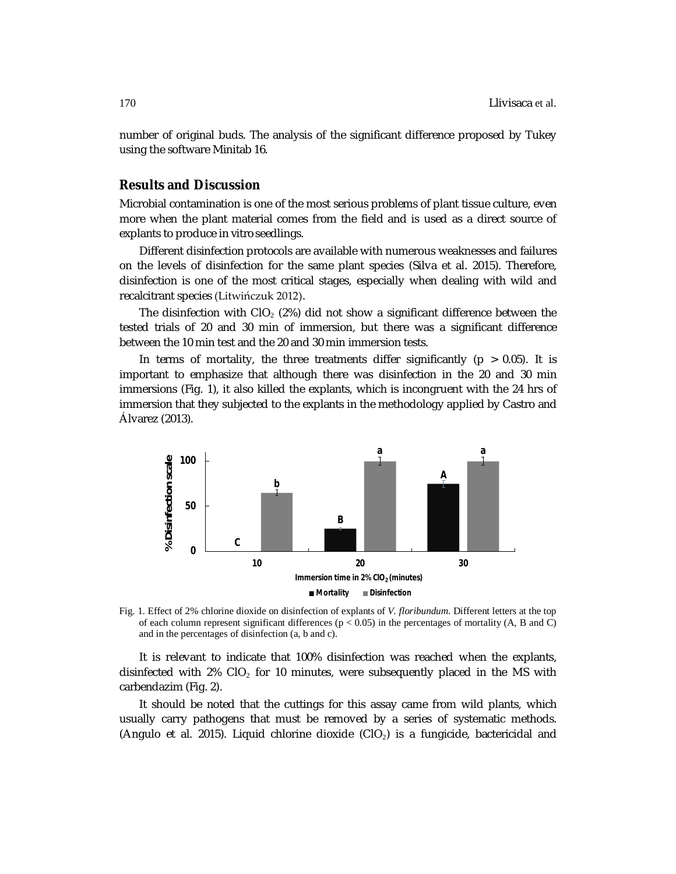number of original buds. The analysis of the significant difference proposed by Tukey using the software Minitab 16.

## **Results and Discussion**

Microbial contamination is one of the most serious problems of plant tissue culture, even more when the plant material comes from the field and is used as a direct source of explants to produce *in vitro* seedlings.

Different disinfection protocols are available with numerous weaknesses and failures on the levels of disinfection for the same plant species (Silva et al. 2015). Therefore, disinfection is one of the most critical stages, especially when dealing with wild and recalcitrant species (Litwińczuk 2012).

The disinfection with CIO<sub>2</sub> (2%) did not show a significant difference between the tested trials of 20 and 30 min of immersion, but there was a significant difference between the 10 min test and the 20 and 30 min immersion tests.

In terms of mortality, the three treatments differ significantly ( $p > 0.05$ ). It is important to emphasize that although there was disinfection in the 20 and 30 min immersions (Fig. 1), it also killed the explants, which is incongruent with the 24 hrs of immersion that they subjected to the explants in the methodology applied by Castro and Álvarez (2013).



Fig. 1. Effect of 2% chlorine dioxide on disinfection of explants of *V. floribundum*. Different letters at the top of each column represent significant differences ( $p < 0.05$ ) in the percentages of mortality (A, B and C) and in the percentages of disinfection (a, b and c).

It is relevant to indicate that 100% disinfection was reached when the explants, disinfected with  $2\%$  CIO<sub>2</sub> for 10 minutes, were subsequently placed in the MS with carbendazim (Fig. 2).

It should be noted that the cuttings for this assay came from wild plants, which usually carry pathogens that must be removed by a series of systematic methods. (Angulo et al. 2015). Liquid chlorine dioxide (CIO<sub>2</sub>) is a fungicide, bactericidal and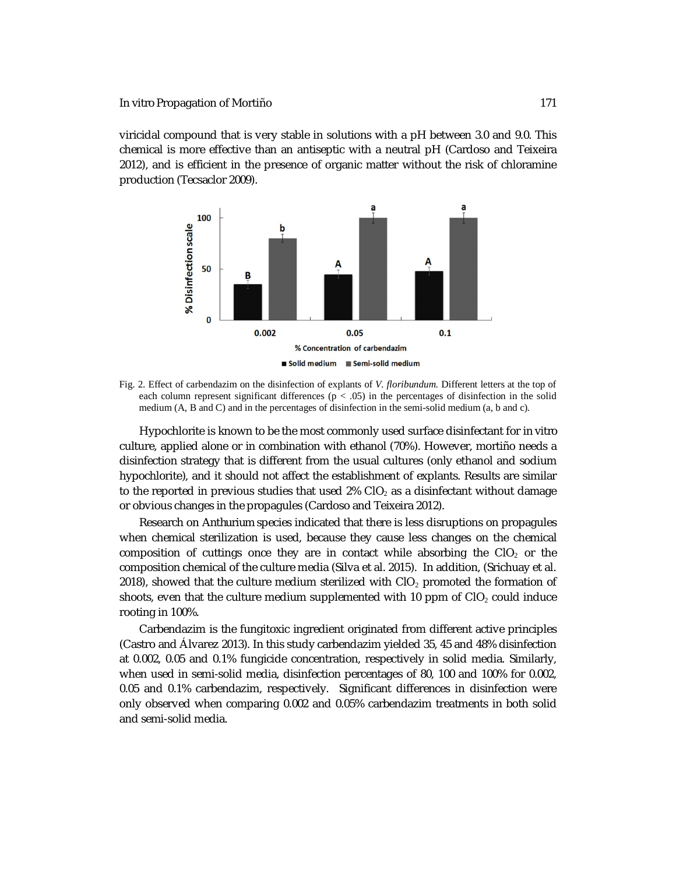viricidal compound that is very stable in solutions with a pH between 3.0 and 9.0. This chemical is more effective than an antiseptic with a neutral pH (Cardoso and Teixeira 2012), and is efficient in the presence of organic matter without the risk of chloramine production (Tecsaclor 2009).



Fig. 2. Effect of carbendazim on the disinfection of explants of *V. floribundum*. Different letters at the top of each column represent significant differences ( $p < .05$ ) in the percentages of disinfection in the solid medium (A, B and C) and in the percentages of disinfection in the semi-solid medium (a, b and c).

Hypochlorite is known to be the most commonly used surface disinfectant for *in vitro* culture, applied alone or in combination with ethanol (70%). However, mortiño needs a disinfection strategy that is different from the usual cultures (only ethanol and sodium hypochlorite), and it should not affect the establishment of explants. Results are similar to the reported in previous studies that used  $2\%$  CIO<sub>2</sub> as a disinfectant without damage or obvious changes in the propagules (Cardoso and Teixeira 2012).

Research on *Anthurium* species indicated that there is less disruptions on propagules when chemical sterilization is used, because they cause less changes on the chemical composition of cuttings once they are in contact while absorbing the  $ClO<sub>2</sub>$  or the composition chemical of the culture media (Silva et al. 2015). In addition, (Srichuay et al.  $2018$ ), showed that the culture medium sterilized with CIO<sub>2</sub> promoted the formation of shoots, even that the culture medium supplemented with 10 ppm of  $ClO<sub>2</sub>$  could induce rooting in 100%.

Carbendazim is the fungitoxic ingredient originated from different active principles (Castro and Álvarez 2013). In this study carbendazim yielded 35, 45 and 48% disinfection at 0.002, 0.05 and 0.1% fungicide concentration, respectively in solid media. Similarly, when used in semi-solid media, disinfection percentages of 80, 100 and 100% for 0.002, 0.05 and 0.1% carbendazim, respectively. Significant differences in disinfection were only observed when comparing 0.002 and 0.05% carbendazim treatments in both solid and semi-solid media.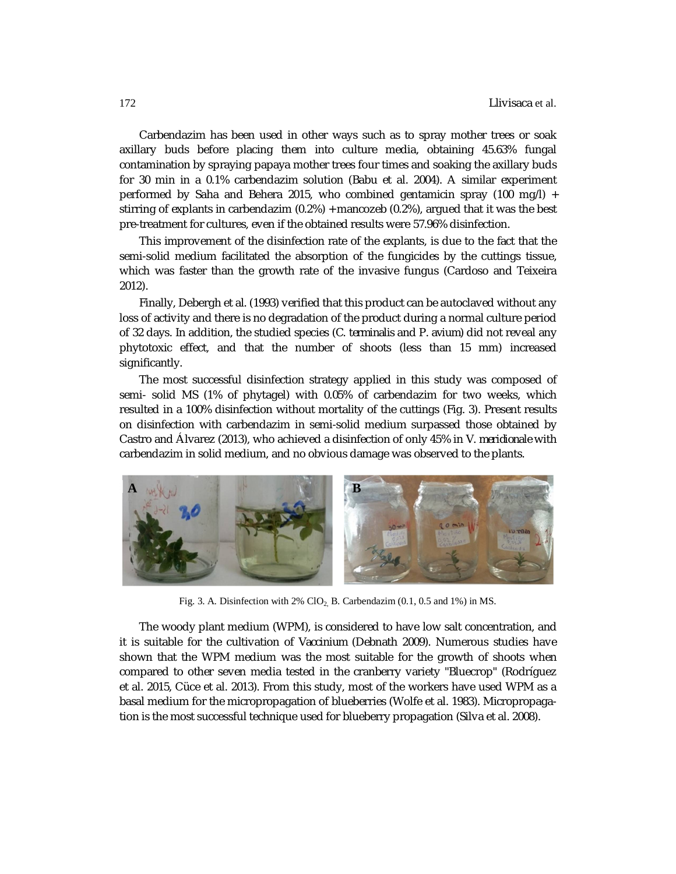Carbendazim has been used in other ways such as to spray mother trees or soak axillary buds before placing them into culture media, obtaining 45.63% fungal contamination by spraying papaya mother trees four times and soaking the axillary buds for 30 min in a 0.1% carbendazim solution (Babu et al. 2004). A similar experiment performed by Saha and Behera 2015, who combined gentamicin spray (100 mg/l) + stirring of explants in carbendazim (0.2%) + mancozeb (0.2%), argued that it was the best pre-treatment for cultures, even if the obtained results were 57.96% disinfection.

This improvement of the disinfection rate of the explants, is due to the fact that the semi-solid medium facilitated the absorption of the fungicides by the cuttings tissue, which was faster than the growth rate of the invasive fungus (Cardoso and Teixeira 2012).

Finally, Debergh et al. (1993) verified that this product can be autoclaved without any loss of activity and there is no degradation of the product during a normal culture period of 32 days. In addition, the studied species (*C. terminalis* and *P. avium*) did not reveal any phytotoxic effect, and that the number of shoots (less than 15 mm) increased significantly.

The most successful disinfection strategy applied in this study was composed of semi- solid MS (1% of phytagel) with 0.05% of carbendazim for two weeks, which resulted in a 100% disinfection without mortality of the cuttings (Fig. 3). Present results on disinfection with carbendazim in semi-solid medium surpassed those obtained by Castro and Álvarez (2013), who achieved a disinfection of only 45% in *V. meridionale* with carbendazim in solid medium, and no obvious damage was observed to the plants.



Fig. 3. A. Disinfection with 2%  $ClO<sub>2</sub>$  B. Carbendazim (0.1, 0.5 and 1%) in MS.

The woody plant medium (WPM), is considered to have low salt concentration, and it is suitable for the cultivation of *Vaccinium* (Debnath 2009). Numerous studies have shown that the WPM medium was the most suitable for the growth of shoots when compared to other seven media tested in the cranberry variety "Bluecrop" (Rodríguez et al. 2015, Cüce et al. 2013). From this study, most of the workers have used WPM as a basal medium for the micropropagation of blueberries (Wolfe et al. 1983). Micropropagation is the most successful technique used for blueberry propagation (Silva et al. 2008).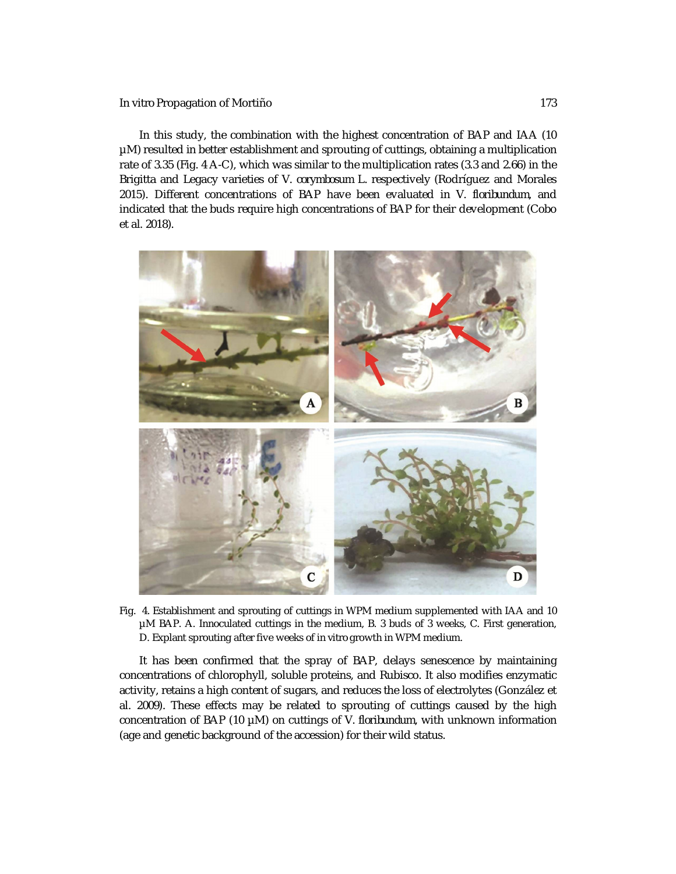### *In vitro* Propagation of Mortiño 173

In this study, the combination with the highest concentration of BAP and IAA (10 µM) resulted in better establishment and sprouting of cuttings, obtaining a multiplication rate of 3.35 (Fig. 4 A-C), which was similar to the multiplication rates (3.3 and 2.66) in the Brigitta and Legacy varieties of *V. corymbosum* L. respectively (Rodríguez and Morales 2015). Different concentrations of BAP have been evaluated in *V. floribundum*, and indicated that the buds require high concentrations of BAP for their development (Cobo et al. 2018).



Fig. 4. Establishment and sprouting of cuttings in WPM medium supplemented with IAA and 10 µM BAP. A. Innoculated cuttings in the medium, B. 3 buds of 3 weeks, C. First generation, D. Explant sprouting after five weeks of *in vitro* growth in WPM medium.

It has been confirmed that the spray of BAP, delays senescence by maintaining concentrations of chlorophyll, soluble proteins, and Rubisco. It also modifies enzymatic activity, retains a high content of sugars, and reduces the loss of electrolytes (González et al. 2009). These effects may be related to sprouting of cuttings caused by the high concentration of BAP (10 µM) on cuttings of *V. floribundum*, with unknown information (age and genetic background of the accession) for their wild status.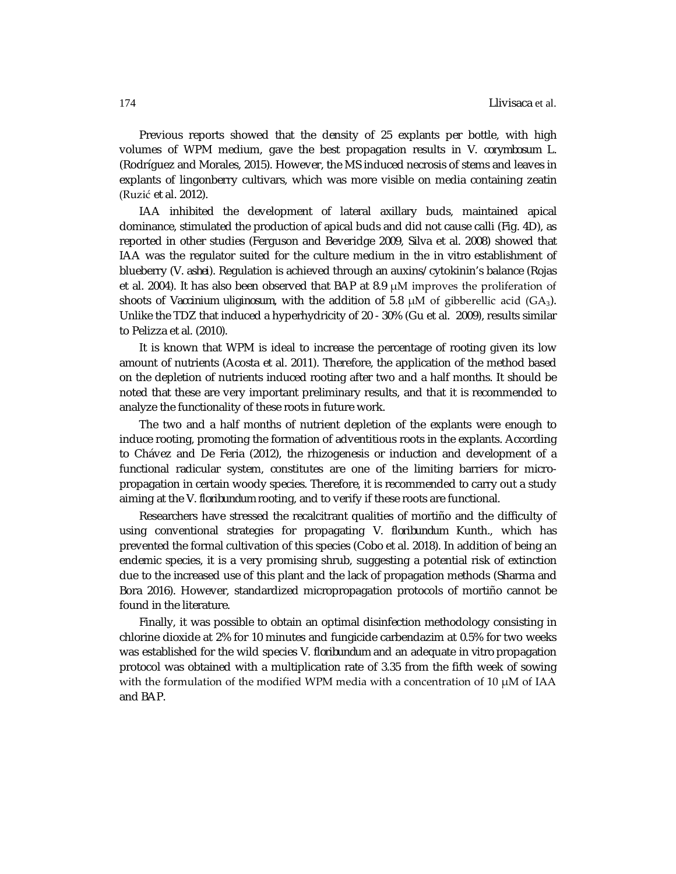Previous reports showed that the density of 25 explants per bottle, with high volumes of WPM medium, gave the best propagation results in *V. corymbosum* L. (Rodríguez and Morales, 2015). However, the MS induced necrosis of stems and leaves in explants of lingonberry cultivars, which was more visible on media containing zeatin (Ruzić et al. 2012).

IAA inhibited the development of lateral axillary buds, maintained apical dominance, stimulated the production of apical buds and did not cause calli (Fig. 4D), as reported in other studies (Ferguson and Beveridge 2009, Silva et al. 2008) showed that IAA was the regulator suited for the culture medium in the *in vitro* establishment of blueberry (*V. ashei*). Regulation is achieved through an auxins/ cytokinin's balance (Rojas et al. 2004). It has also been observed that BAP at 8.9  $\mu$ M improves the proliferation of shoots of *Vaccinium uliginosum*, with the addition of 5.8 μM of gibberellic acid (GA3). Unlike the TDZ that induced a hyperhydricity of 20 - 30% (Gu et al. 2009), results similar to Pelizza et al. (2010).

It is known that WPM is ideal to increase the percentage of rooting given its low amount of nutrients (Acosta et al. 2011). Therefore, the application of the method based on the depletion of nutrients induced rooting after two and a half months. It should be noted that these are very important preliminary results, and that it is recommended to analyze the functionality of these roots in future work.

The two and a half months of nutrient depletion of the explants were enough to induce rooting, promoting the formation of adventitious roots in the explants. According to Chávez and De Feria (2012), the rhizogenesis or induction and development of a functional radicular system, constitutes are one of the limiting barriers for micropropagation in certain woody species. Therefore, it is recommended to carry out a study aiming at the *V. floribundum* rooting, and to verify if these roots are functional.

Researchers have stressed the recalcitrant qualities of mortiño and the difficulty of using conventional strategies for propagating *V. floribundum* Kunth., which has prevented the formal cultivation of this species (Cobo et al. 2018). In addition of being an endemic species, it is a very promising shrub, suggesting a potential risk of extinction due to the increased use of this plant and the lack of propagation methods (Sharma and Bora 2016). However, standardized micropropagation protocols of mortiño cannot be found in the literature.

Finally, it was possible to obtain an optimal disinfection methodology consisting in chlorine dioxide at 2% for 10 minutes and fungicide carbendazim at 0.5% for two weeks was established for the wild species *V. floribundum* and an adequate *in vitro* propagation protocol was obtained with a multiplication rate of 3.35 from the fifth week of sowing with the formulation of the modified WPM media with a concentration of 10  $\mu$ M of IAA and BAP.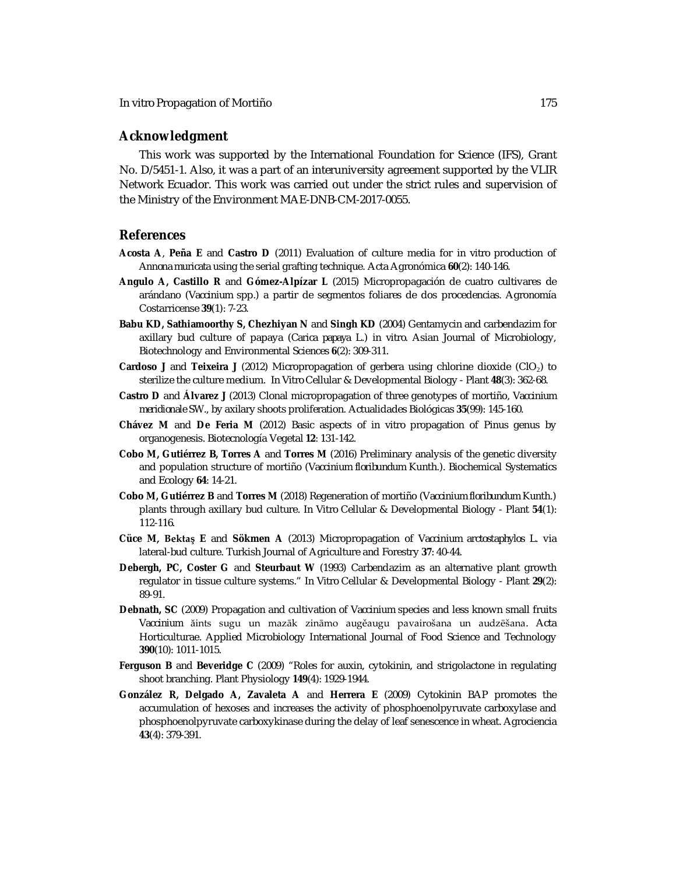## **Acknowledgment**

This work was supported by the International Foundation for Science (IFS), Grant No. D/5451-1. Also, it was a part of an interuniversity agreement supported by the VLIR Network Ecuador. This work was carried out under the strict rules and supervision of the Ministry of the Environment MAE-DNB-CM-2017-0055.

## **References**

- **Acosta A**, **Peña E** and **Castro D** (2011) Evaluation of culture media for *in vitro* production of *Annona muricata* using the serial grafting technique. Acta Agronómica **60**(2): 140-146.
- **Angulo A, Castillo R** and **Gómez-Alpízar L** (2015) Micropropagación de cuatro cultivares de arándano (*Vaccinium* spp.) a partir de segmentos foliares de dos procedencias. Agronomía Costarricense **39**(1): 7-23.
- **Babu KD, Sathiamoorthy S, Chezhiyan N** and **Singh KD** (2004) Gentamycin and carbendazim for axillary bud culture of papaya (*Carica papaya* L.) *in vitro*. Asian Journal of Microbiology, Biotechnology and Environmental Sciences **6**(2): 309-311.
- **Cardoso J** and **Teixeira J** (2012) Micropropagation of gerbera using chlorine dioxide (ClO2) to sterilize the culture medium. *In Vitro* Cellular & Developmental Biology - Plant **48**(3): 362-68.
- **Castro D** and **Álvarez J** (2013) Clonal micropropagation of three genotypes of mortiño, *Vaccinium meridionale* SW., by axilary shoots proliferation. Actualidades Biológicas **35**(99): 145-160.
- **Chávez M** and **De Feria M** (2012) Basic aspects of *in vitro* propagation of *Pinus* genus by organogenesis. Biotecnología Vegetal **12**: 131-142.
- **Cobo M, Gutiérrez B, Torres A** and **Torres M** (2016) Preliminary analysis of the genetic diversity and population structure of mortiño (*Vaccinium floribundum* Kunth.). Biochemical Systematics and Ecology **64**: 14-21.
- **Cobo M, Gutiérrez B** and **Torres M** (2018) Regeneration of mortiño (V*accinium floribundum* Kunth.) plants through axillary bud culture. *In Vitro* Cellular & Developmental Biology - Plant **54**(1): 112-116.
- **Cüce M, Bektaş E** and **Sökmen A** (2013) Micropropagation of *Vaccinium arctostaphylos* L. via lateral-bud culture. Turkish Journal of Agriculture and Forestry **37**: 40-44.
- **Debergh, PC, Coster G** and **Steurbaut W** (1993) Carbendazim as an alternative plant growth regulator in tissue culture systems." *In Vitro* Cellular & Developmental Biology *-* Plant **29**(2): 89-91.
- **Debnath, SC** (2009) Propagation and cultivation of *Vaccinium* species and less known small fruits *Vaccinium* ăints sugu un mazāk zināmo augěaugu pavairošana un audzēšana. Acta Horticulturae. Applied Microbiology International Journal of Food Science and Technology **390**(10): 1011-1015.
- **Ferguson B** and **Beveridge C** (2009) "Roles for auxin, cytokinin, and strigolactone in regulating shoot branching. Plant Physiology **149**(4): 1929-1944.
- **González R, Delgado A, Zavaleta A** and **Herrera E** (2009) Cytokinin BAP promotes the accumulation of hexoses and increases the activity of phosphoenolpyruvate carboxylase and phosphoenolpyruvate carboxykinase during the delay of leaf senescence in wheat. Agrociencia **43**(4): 379-391.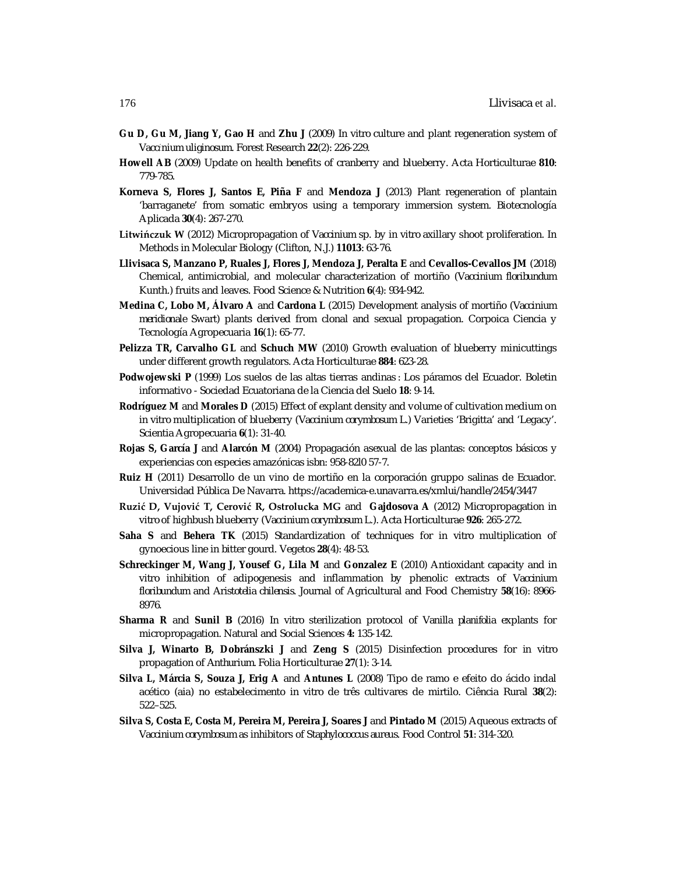- **Gu D, Gu M, Jiang Y, Gao H** and **Zhu J** (2009) *In vitro* culture and plant regeneration system of *Vaccίnium uliginosum*. Forest Research **22**(2): 226-229.
- **Howell AB** (2009) Update on health benefits of cranberry and blueberry. Acta Horticulturae **810**: 779-785.
- **Korneva S, Flores J, Santos E, Piña F** and **Mendoza J** (2013) Plant regeneration of plantain 'barraganete' from somatic embryos using a temporary immersion system. Biotecnología Aplicada **30**(4): 267-270.
- **Litwińczuk W** (2012) Micropropagation of *Vaccinium* sp. by *in vitro* axillary shoot proliferation. In Methods in Molecular Biology (Clifton, N.J.) **11013**: 63-76.
- **Llivisaca S, Manzano P, Ruales J, Flores J, Mendoza J, Peralta E** and **Cevallos-Cevallos JM** (2018) Chemical, antimicrobial, and molecular characterization of mortiño (*Vaccinium floribundum* Kunth.) fruits and leaves. Food Science & Nutrition **6**(4): 934-942.
- **Medina C, Lobo M, Álvaro A** and **Cardona L** (2015) Development analysis of mortiño (*Vaccinium meridionale* Swart) plants derived from clonal and sexual propagation. Corpoica Ciencia y Tecnología Agropecuaria **16**(1): 65-77.
- **Pelizza TR, Carvalho GL** and **Schuch MW** (2010) Growth evaluation of blueberry minicuttings under different growth regulators. Acta Horticulturae **884**: 623-28.
- **Podwojewski P** (1999) Los suelos de las altas tierras andinas : Los páramos del Ecuador. Boletin informativo - Sociedad Ecuatoriana de la Ciencia del Suelo **18**: 9-14.
- **Rodríguez M** and **Morales D** (2015) Effect of explant density and volume of cultivation medium on *in vitro* multiplication of blueberry (*Vaccinium corymbosum* L.) Varieties 'Brigitta' and 'Legacy'. Scientia Agropecuaria **6**(1): 31-40.
- **Rojas S, García J** and **Alarcón M** (2004) Propagación asexual de las plantas: conceptos básicos y experiencias con especies amazónicas isbn: 958-82l0 57-7.
- **Ruiz H** (2011) Desarrollo de un vino de mortiño en la corporación gruppo salinas de Ecuador. Universidad Pública De Navarra. <https://academica-e.unavarra.es/xmlui/handle/2454/3447>
- **Ruzić D, Vujović T, Cerović R, Ostrolucka MG** and **Gajdosova A** (2012) Micropropagation *in vitro* of highbush blueberry (*Vaccinium corymbosum* L.). Acta Horticulturae **926**: 265-272.
- **Saha S** and **Behera TK** (2015) Standardization of techniques for *in vitro* multiplication of gynoecious line in bitter gourd. Vegetos **28**(4): 48-53.
- **Schreckinger M, Wang J, Yousef G, Lila M** and **Gonzalez E** (2010) Antioxidant capacity and *in vitro* inhibition of adipogenesis and inflammation by phenolic extracts of *Vaccinium floribundum* and *Aristotelia chilensis*. Journal of Agricultural and Food Chemistry **58**(16): 8966- 8976.
- **Sharma R** and **Sunil B** (2016) *In vitro* sterilization protocol of *Vanilla planifolia* explants for micropropagation. Natural and Social Sciences **4:** 135-142.
- **Silva J, Winarto B, Dobránszki J** and **Zeng S** (2015) Disinfection procedures for *in vitro*  propagation of *Anthurium*. Folia Horticulturae **27**(1): 3-14.
- **Silva L, Márcia S, Souza J, Erig A** and **Antunes L** (2008) Tipo de ramo e efeito do ácido indal acético (aia) no estabelecimento *in vitro* de três cultivares de mirtilo. Ciência Rural **38**(2): 522–525.
- **Silva S, Costa E, Costa M, Pereira M, Pereira J, Soares J** and **Pintado M** (2015) Aqueous extracts of *Vaccinium corymbosum* as inhibitors of *Staphylococcus aureus*. Food Control **51**: 314-320.